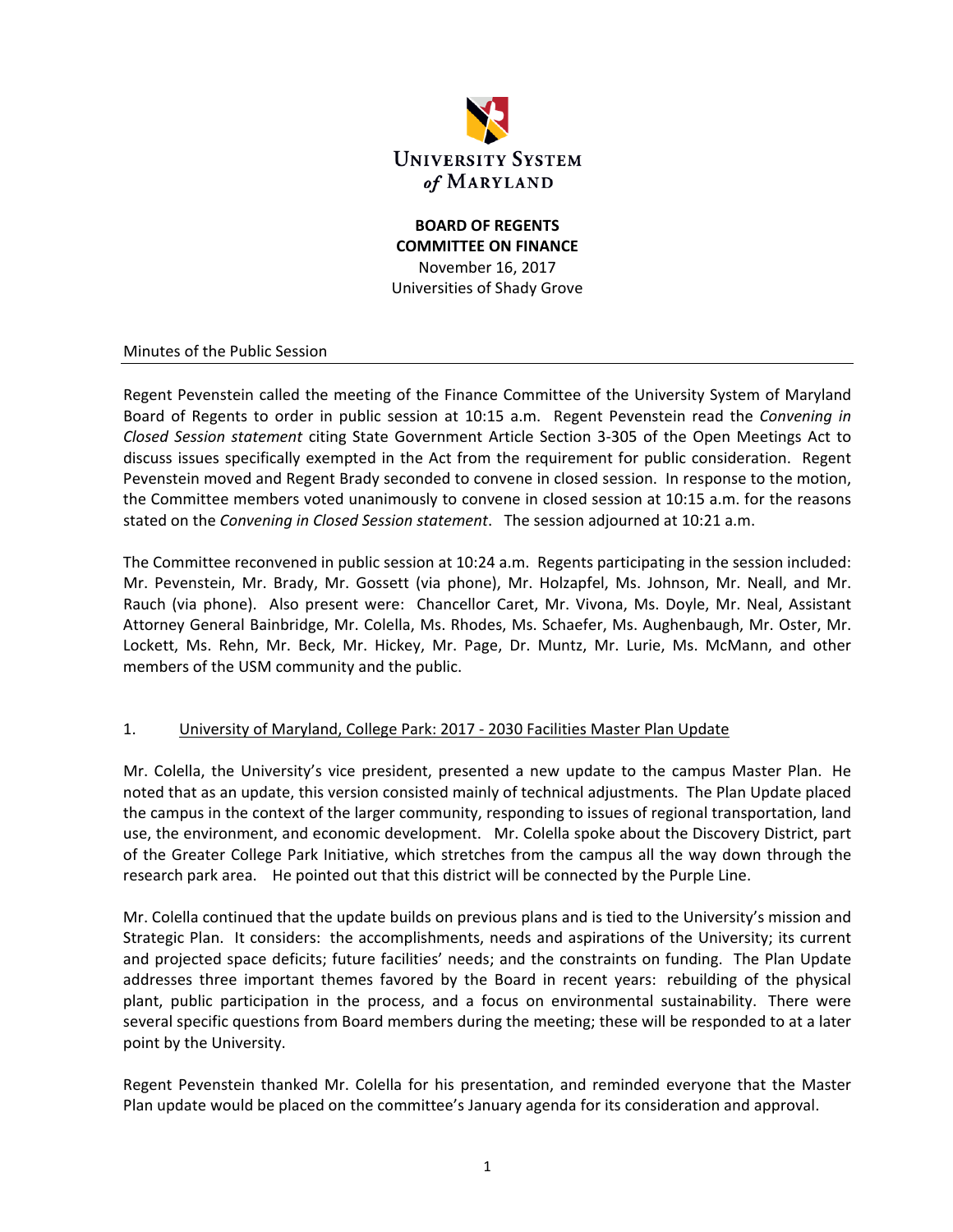

# **BOARD OF REGENTS COMMITTEE ON FINANCE** November 16, 2017 Universities of Shady Grove

#### Minutes of the Public Session

Regent Pevenstein called the meeting of the Finance Committee of the University System of Maryland Board of Regents to order in public session at 10:15 a.m. Regent Pevenstein read the *Convening in Closed Session statement* citing State Government Article Section 3‐305 of the Open Meetings Act to discuss issues specifically exempted in the Act from the requirement for public consideration. Regent Pevenstein moved and Regent Brady seconded to convene in closed session. In response to the motion, the Committee members voted unanimously to convene in closed session at 10:15 a.m. for the reasons stated on the *Convening in Closed Session statement*. The session adjourned at 10:21 a.m.

The Committee reconvened in public session at 10:24 a.m. Regents participating in the session included: Mr. Pevenstein, Mr. Brady, Mr. Gossett (via phone), Mr. Holzapfel, Ms. Johnson, Mr. Neall, and Mr. Rauch (via phone). Also present were: Chancellor Caret, Mr. Vivona, Ms. Doyle, Mr. Neal, Assistant Attorney General Bainbridge, Mr. Colella, Ms. Rhodes, Ms. Schaefer, Ms. Aughenbaugh, Mr. Oster, Mr. Lockett, Ms. Rehn, Mr. Beck, Mr. Hickey, Mr. Page, Dr. Muntz, Mr. Lurie, Ms. McMann, and other members of the USM community and the public.

#### 1. University of Maryland, College Park: 2017 ‐ 2030 Facilities Master Plan Update

Mr. Colella, the University's vice president, presented a new update to the campus Master Plan. He noted that as an update, this version consisted mainly of technical adjustments. The Plan Update placed the campus in the context of the larger community, responding to issues of regional transportation, land use, the environment, and economic development. Mr. Colella spoke about the Discovery District, part of the Greater College Park Initiative, which stretches from the campus all the way down through the research park area. He pointed out that this district will be connected by the Purple Line.

Mr. Colella continued that the update builds on previous plans and is tied to the University's mission and Strategic Plan. It considers: the accomplishments, needs and aspirations of the University; its current and projected space deficits; future facilities' needs; and the constraints on funding. The Plan Update addresses three important themes favored by the Board in recent years: rebuilding of the physical plant, public participation in the process, and a focus on environmental sustainability. There were several specific questions from Board members during the meeting; these will be responded to at a later point by the University.

Regent Pevenstein thanked Mr. Colella for his presentation, and reminded everyone that the Master Plan update would be placed on the committee's January agenda for its consideration and approval.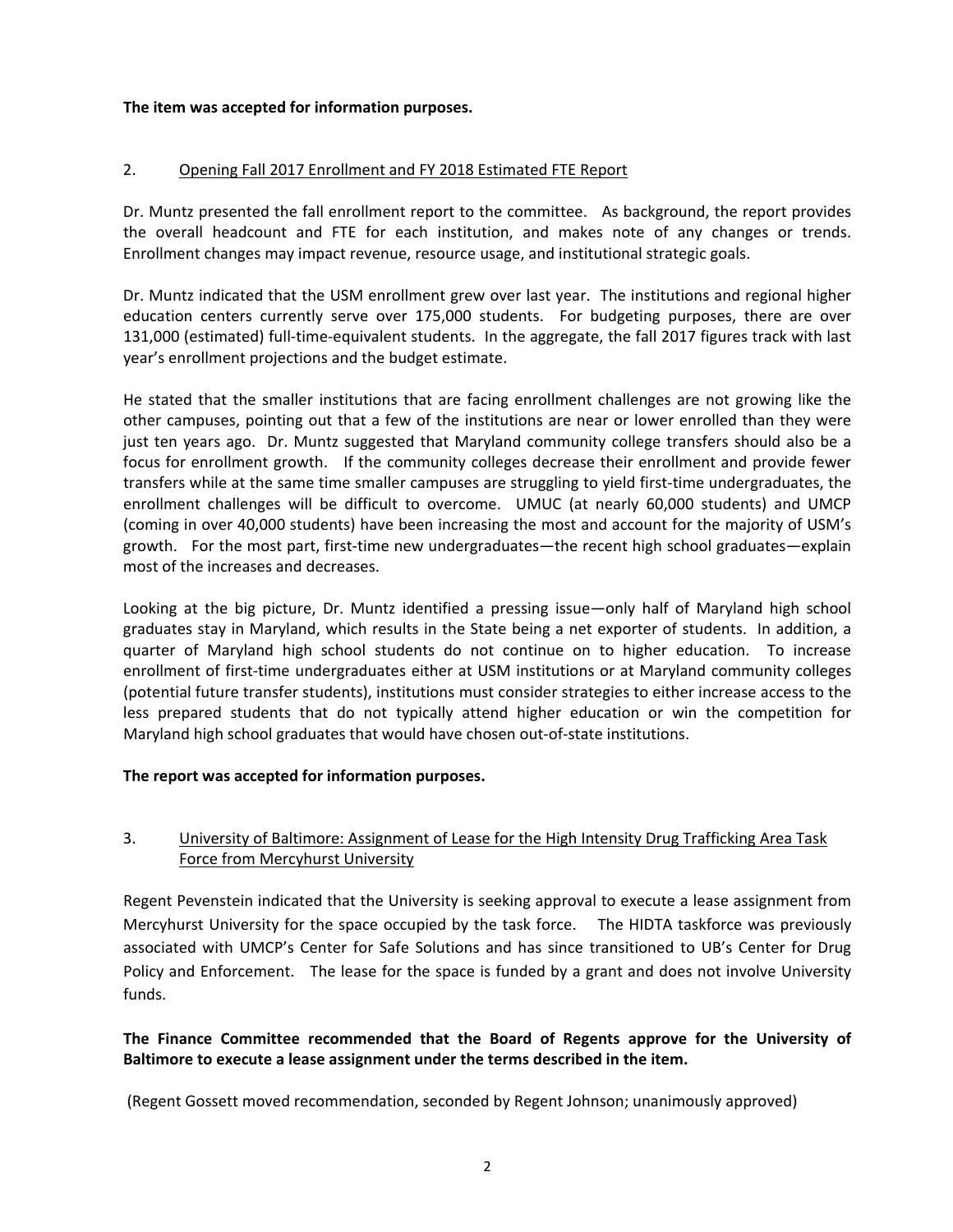#### **The item was accepted for information purposes.**

#### 2. Opening Fall 2017 Enrollment and FY 2018 Estimated FTE Report

Dr. Muntz presented the fall enrollment report to the committee. As background, the report provides the overall headcount and FTE for each institution, and makes note of any changes or trends. Enrollment changes may impact revenue, resource usage, and institutional strategic goals.

Dr. Muntz indicated that the USM enrollment grew over last year. The institutions and regional higher education centers currently serve over 175,000 students. For budgeting purposes, there are over 131,000 (estimated) full‐time‐equivalent students. In the aggregate, the fall 2017 figures track with last year's enrollment projections and the budget estimate.

He stated that the smaller institutions that are facing enrollment challenges are not growing like the other campuses, pointing out that a few of the institutions are near or lower enrolled than they were just ten years ago. Dr. Muntz suggested that Maryland community college transfers should also be a focus for enrollment growth. If the community colleges decrease their enrollment and provide fewer transfers while at the same time smaller campuses are struggling to yield first‐time undergraduates, the enrollment challenges will be difficult to overcome. UMUC (at nearly 60,000 students) and UMCP (coming in over 40,000 students) have been increasing the most and account for the majority of USM's growth. For the most part, first-time new undergraduates—the recent high school graduates—explain most of the increases and decreases.

Looking at the big picture, Dr. Muntz identified a pressing issue—only half of Maryland high school graduates stay in Maryland, which results in the State being a net exporter of students. In addition, a quarter of Maryland high school students do not continue on to higher education. To increase enrollment of first-time undergraduates either at USM institutions or at Maryland community colleges (potential future transfer students), institutions must consider strategies to either increase access to the less prepared students that do not typically attend higher education or win the competition for Maryland high school graduates that would have chosen out‐of‐state institutions.

#### **The report was accepted for information purposes.**

# 3. University of Baltimore: Assignment of Lease for the High Intensity Drug Trafficking Area Task Force from Mercyhurst University

Regent Pevenstein indicated that the University is seeking approval to execute a lease assignment from Mercyhurst University for the space occupied by the task force. The HIDTA taskforce was previously associated with UMCP's Center for Safe Solutions and has since transitioned to UB's Center for Drug Policy and Enforcement. The lease for the space is funded by a grant and does not involve University funds.

# **The Finance Committee recommended that the Board of Regents approve for the University of Baltimore to execute a lease assignment under the terms described in the item.**

(Regent Gossett moved recommendation, seconded by Regent Johnson; unanimously approved)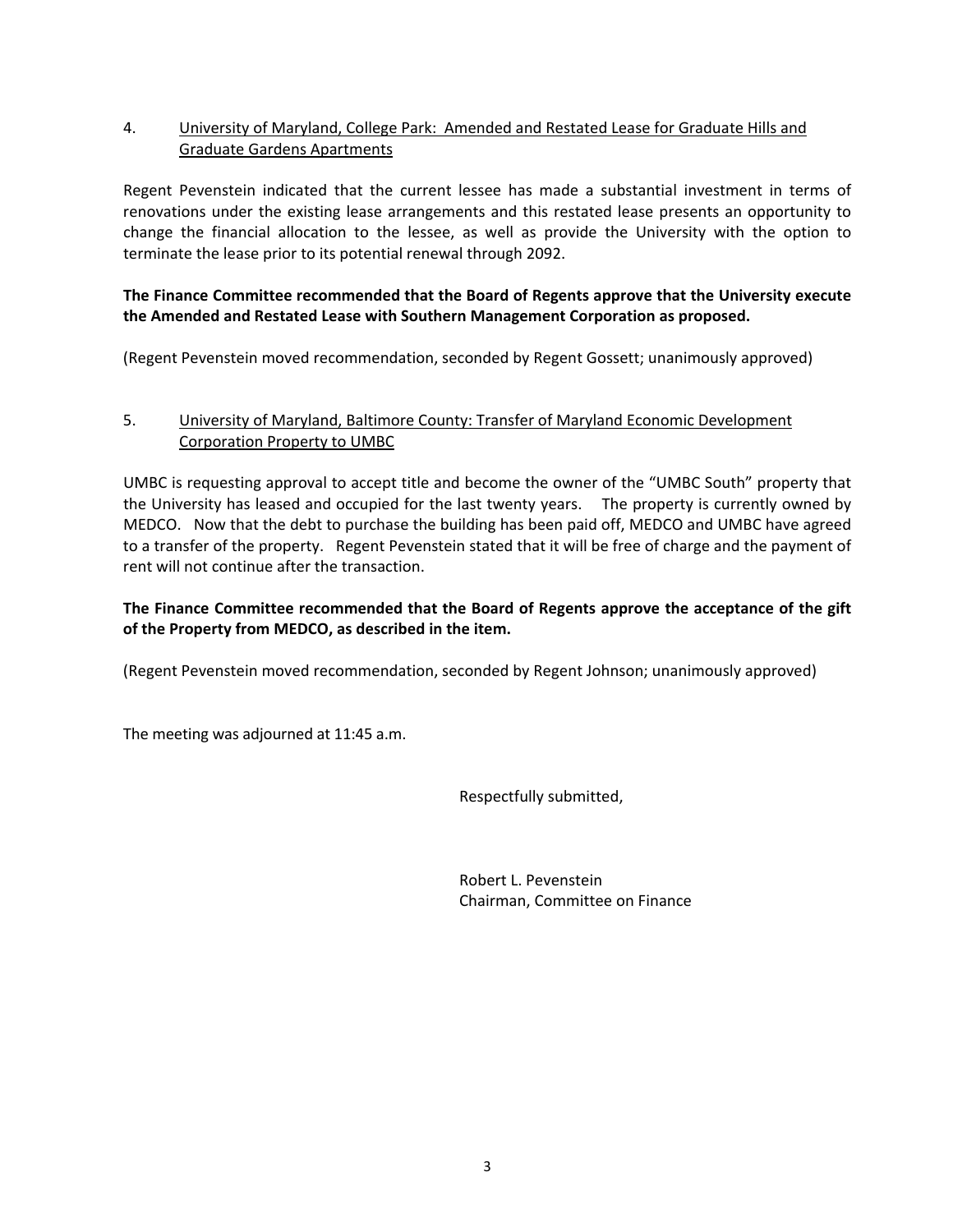### 4. University of Maryland, College Park: Amended and Restated Lease for Graduate Hills and Graduate Gardens Apartments

Regent Pevenstein indicated that the current lessee has made a substantial investment in terms of renovations under the existing lease arrangements and this restated lease presents an opportunity to change the financial allocation to the lessee, as well as provide the University with the option to terminate the lease prior to its potential renewal through 2092.

#### **The Finance Committee recommended that the Board of Regents approve that the University execute the Amended and Restated Lease with Southern Management Corporation as proposed.**

(Regent Pevenstein moved recommendation, seconded by Regent Gossett; unanimously approved)

# 5. University of Maryland, Baltimore County: Transfer of Maryland Economic Development Corporation Property to UMBC

UMBC is requesting approval to accept title and become the owner of the "UMBC South" property that the University has leased and occupied for the last twenty years. The property is currently owned by MEDCO. Now that the debt to purchase the building has been paid off, MEDCO and UMBC have agreed to a transfer of the property. Regent Pevenstein stated that it will be free of charge and the payment of rent will not continue after the transaction.

# **The Finance Committee recommended that the Board of Regents approve the acceptance of the gift of the Property from MEDCO, as described in the item.**

(Regent Pevenstein moved recommendation, seconded by Regent Johnson; unanimously approved)

The meeting was adjourned at 11:45 a.m.

Respectfully submitted,

 Robert L. Pevenstein Chairman, Committee on Finance